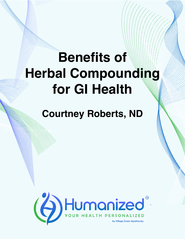## **Benefits of Herbal Compounding for GI Health**

## **Courtney Roberts, ND**

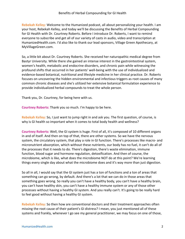**Rebekah Kelley:** Welcome to the Humanized podcast, all about personalizing your health. I am your host, Rebekah Kelley, and today we'll be discussing the Benefits of Herbal Compounding for GI Health with Dr. Courtney Roberts. Before I introduce Dr. Roberts, I want to remind everyone to subscribe and get all of our variety of casts in audio, video and transcription at HumanizedHealth.com. I'd also like to thank our lead sponsors, Village Green Apothecary, at MyVillageGreen.com.

So, a little bit about Dr. Courtney Roberts. She received her naturopathic medical degree from Bastyr University. While there she gained an intense interest in the gastrointestinal system, women's health, metabolic and endocrine disorders, and chronic pain while witnessing the profound shifts that occurred in her patients' well-being with the use of individualized and evidence-based botanical, nutritional and lifestyle medicine in her clinical practice. Dr. Roberts focuses on uncovering the hidden environmental and infectious triggers as root causes of many common chronic diseases and she's utilized her extensive botanical formulation experience to provide individualized herbal compounds to treat the whole person.

Thank you, Dr. Courtney, for being here with us.

**Courtney Roberts:** Thank you so much. I'm happy to be here.

**Rebekah Kelley:** So, I just want to jump right in and ask you. The first question, of course, is why is GI health so important when it comes to total body health and wellness?

**Courtney Roberts:** Well, the GI system is huge. First of all, it's composed of 10 different organs in and of itself. And then on top of that, there are other systems. So we have the nervous system, the circulatory system, that play a role in GI function. There's processes like macro- and micronutrient absorption, which without these nutrients, our body has no fuel, it can't do all of the processes that it needs to do. There's digestion, there's waste elimination, immune function, blood sugar and hormone regulation, detoxification. And then of course, the microbiome, which is like, what does the microbiome NOT do at this point? We're learning things every single day about what the microbiome does and it's way more than just digestion.

So all in all, I would say that the GI system just has a ton of functions and a ton of areas that something can go wrong, by default. And there's a lot that we can do in those areas that something goes wrong. So really you can't have a healthy body, you can't have a healthy brain, you can't have healthy skin, you can't have a healthy immune system or any of those other processes without having a healthy GI system. And you really can't. It's going to be really hard to feel good without having a healthy GI system.

**Rebekah Kelley:** So then how are conventional doctors and their treatment approaches often missing the root cause of their patient's GI distress? I mean, you just mentioned all of these systems and frankly, whenever I go see my general practitioner, we may focus on one of those,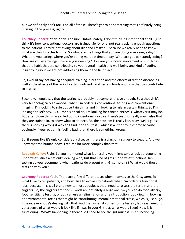but we definitely don't focus on all of those. There's got to be something that's definitely being missing in the process, right?

**Courtney Roberts:** Yeah. Yeah. For sure. Unfortunately, I don't think it's intentional at all. I just think it's how conventional doctors are trained. So for one, not really asking enough questions to the patient. They're not asking about diet and lifestyle – because we really need to know what are the obstacles to cure. So what are the things that you are doing every single day? What are you eating, where you're eating multiple times a day. What are you constantly doing? How are you exercising? How are you sleeping? How are your bowel movements? Just things that are habit that are contributing to your overall health and well-being and kind of adding insult to injury if we are not addressing them in the first place.

So, I would say not having adequate training in nutrition and the effects of diet on disease, as well as the effects of the lack of certain nutrients and certain foods and how that can contribute to disease.

Secondly, I would say that the testing is probably not comprehensive enough. So although it's very technologically advanced… when I'm ordering conventional testing and conventional imaging, I'm looking to rule out certain things and I'm looking to rule in certain things. So I'm looking for, let's say, IBD, Crohn's or colitis, I'm looking for cancer, cirrhosis, whatever it may be. But after those things are ruled out, conventional doctors, there's just not really much else that they are trained in, to know what to do next. So, the problem is really like, okay, well, I guess there's nothing wrong if we can't find it on this test – which is a little troublesome because obviously if your patient is feeling bad, then there is something wrong.

So, it seems like it's only considered a disease if there is a drug or a surgery to treat it. And we know that the human body is really a lot more complex than that.

**Rebekah Kelley:** Right. So you mentioned what lab testing you might take a look at, depending upon what issues a patient's dealing with, but that kind of gets me to what functional lab testing do you recommend when patients do present with GI symptoms? What would those tests be with you?

**Courtney Roberts:** Yeah. There are a few different tests when it comes to the GI system. So what I like to tell patients, and how I like to explain to patients when I'm ordering functional labs, because this is all brand new to most people, is that I need to assess the terrain and the triggers. So, the triggers are foods. Foods are definitely a huge one. So you can do food allergy, food sensitivity testing, or you can use an elimination and reintroduction food diet. I'm looking at environmental toxins that might be contributing, mental-emotional stress, which is just huge, I mean, everybody's dealing with that. And then when it comes to the terrain, let's say I need to get a sense of what would it look like if I was in your GI tract, what would I see? How is it functioning? What's happening in there? So I need to see the gut mucosa. Is it functioning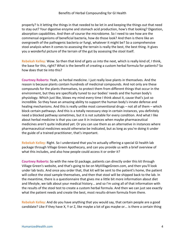properly? Is it letting the things in that needed to be let in and keeping the things out that need to stay out? Your digestive enzyme and stomach acid production, how's that looking? Digestion, absorption capabilities. And then of course the microbiome. So I need to see how are the commensal organisms of beneficial bacteria, how do those look? And then is there like an overgrowth of the pathogenic bacteria or fungi, whatever it might be? So a comprehensive stool analysis when it comes to assessing the terrain is really the best, the best thing. It gives you a wonderful picture of the terrain of the gut by assessing the stool itself.

**Rebekah Kelley:** Wow. So then that kind of gets us into the next, which is really kind of, I think, the base for this, right? What is the benefit of creating a custom herbal formula for patients? So how does that tie into this?

**Courtney Roberts:** Yeah, so herbal medicine. I just really love plants in themselves. And the reason is because plants contain hundreds of medicinal compounds. And not only are these compounds for the plants themselves, to protect them from different things that occur in the environment, but they are specifically tuned to our bodies' needs and the human body's physiology. Which just like, blows my mind every time I think about it, cause that's just so incredible. So they have an amazing ability to support the human body's innate defense and healing mechanisms. And this is really unlike most conventional drugs – not all of them – which block certain pathways. And this is a totally necessary step in certain instances, you definitely need a blocked pathway sometimes, but it is not suitable for every condition. And what I like about herbal medicine is that you can use it in instances when maybe pharmaceutical medicines aren't quite indicated yet. Or you can use them as an alternative in instances where pharmaceutical medicines would otherwise be indicated, but as long as you're doing it under the guide of a trained practitioner, that's important.

**Rebekah Kelley:** Right. So I understand that you're actually offering a special GI health lab package through Village Green Apothecary, and can you provide us with a brief overview of what this includes, and also how people could access it or order it?

**Courtney Roberts:** So with the new GI package, patients can directly order this kit through Village Green's website, and that's going to be on MyVillageGreen.com, and then you'll look under lab tests. And once you order that, that kit will be sent to the patient's home, the patient will collect the stool sample themselves, and then that stool will be shipped back to the lab. In the meantime, there is a questionnaire that gives me a little bit more information about diet and lifestyle, we talk about your medical history... and so I'm using all of that information with the results of the stool test to create a custom herbal formula. And then we can just see exactly what the patient needs and create the best, most results-driven formula from there.

**Rebekah Kelley:** And do you have anything that you would say, that certain people are a good candidate? Like if they have X, Y or Z, like maybe a lot of gas maybe or... is there a certain thing